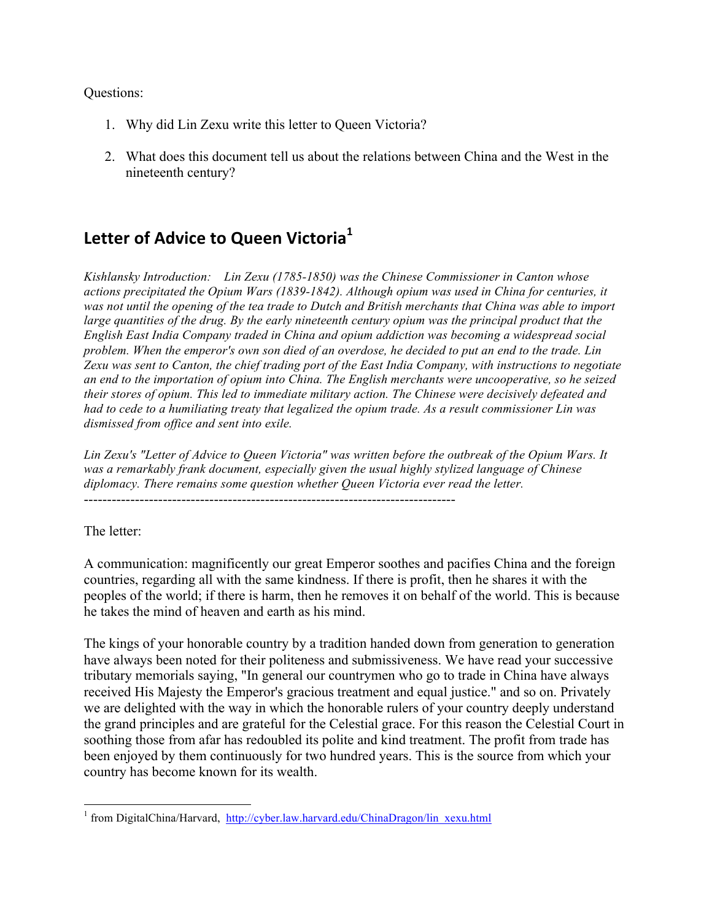Questions:

- 1. Why did Lin Zexu write this letter to Queen Victoria?
- 2. What does this document tell us about the relations between China and the West in the nineteenth century?

## **Letter of Advice to Queen Victoria**<sup>1</sup>

*Kishlansky Introduction: Lin Zexu (1785-1850) was the Chinese Commissioner in Canton whose actions precipitated the Opium Wars (1839-1842). Although opium was used in China for centuries, it was not until the opening of the tea trade to Dutch and British merchants that China was able to import large quantities of the drug. By the early nineteenth century opium was the principal product that the English East India Company traded in China and opium addiction was becoming a widespread social problem. When the emperor's own son died of an overdose, he decided to put an end to the trade. Lin Zexu was sent to Canton, the chief trading port of the East India Company, with instructions to negotiate an end to the importation of opium into China. The English merchants were uncooperative, so he seized their stores of opium. This led to immediate military action. The Chinese were decisively defeated and had to cede to a humiliating treaty that legalized the opium trade. As a result commissioner Lin was dismissed from office and sent into exile.* 

*Lin Zexu's "Letter of Advice to Queen Victoria" was written before the outbreak of the Opium Wars. It was a remarkably frank document, especially given the usual highly stylized language of Chinese diplomacy. There remains some question whether Queen Victoria ever read the letter.*

--------------------------------------------------------------------------------

The letter:

A communication: magnificently our great Emperor soothes and pacifies China and the foreign countries, regarding all with the same kindness. If there is profit, then he shares it with the peoples of the world; if there is harm, then he removes it on behalf of the world. This is because he takes the mind of heaven and earth as his mind.

The kings of your honorable country by a tradition handed down from generation to generation have always been noted for their politeness and submissiveness. We have read your successive tributary memorials saying, "In general our countrymen who go to trade in China have always received His Majesty the Emperor's gracious treatment and equal justice." and so on. Privately we are delighted with the way in which the honorable rulers of your country deeply understand the grand principles and are grateful for the Celestial grace. For this reason the Celestial Court in soothing those from afar has redoubled its polite and kind treatment. The profit from trade has been enjoyed by them continuously for two hundred years. This is the source from which your country has become known for its wealth.

<sup>&</sup>lt;sup>1</sup> from DigitalChina/Harvard, http://cyber.law.harvard.edu/ChinaDragon/lin\_xexu.html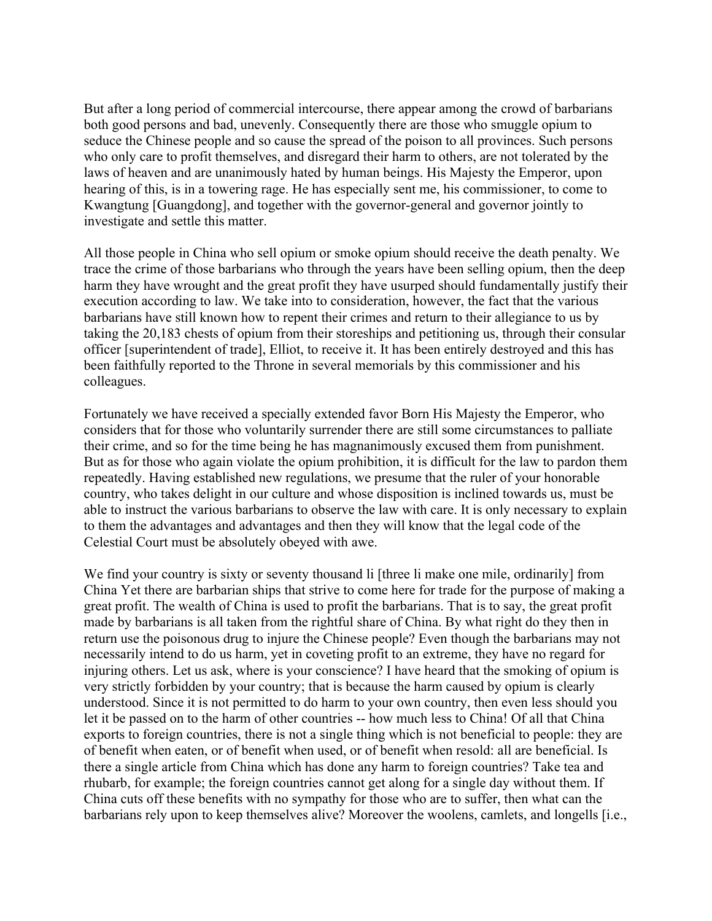But after a long period of commercial intercourse, there appear among the crowd of barbarians both good persons and bad, unevenly. Consequently there are those who smuggle opium to seduce the Chinese people and so cause the spread of the poison to all provinces. Such persons who only care to profit themselves, and disregard their harm to others, are not tolerated by the laws of heaven and are unanimously hated by human beings. His Majesty the Emperor, upon hearing of this, is in a towering rage. He has especially sent me, his commissioner, to come to Kwangtung [Guangdong], and together with the governor-general and governor jointly to investigate and settle this matter.

All those people in China who sell opium or smoke opium should receive the death penalty. We trace the crime of those barbarians who through the years have been selling opium, then the deep harm they have wrought and the great profit they have usurped should fundamentally justify their execution according to law. We take into to consideration, however, the fact that the various barbarians have still known how to repent their crimes and return to their allegiance to us by taking the 20,183 chests of opium from their storeships and petitioning us, through their consular officer [superintendent of trade], Elliot, to receive it. It has been entirely destroyed and this has been faithfully reported to the Throne in several memorials by this commissioner and his colleagues.

Fortunately we have received a specially extended favor Born His Majesty the Emperor, who considers that for those who voluntarily surrender there are still some circumstances to palliate their crime, and so for the time being he has magnanimously excused them from punishment. But as for those who again violate the opium prohibition, it is difficult for the law to pardon them repeatedly. Having established new regulations, we presume that the ruler of your honorable country, who takes delight in our culture and whose disposition is inclined towards us, must be able to instruct the various barbarians to observe the law with care. It is only necessary to explain to them the advantages and advantages and then they will know that the legal code of the Celestial Court must be absolutely obeyed with awe.

We find your country is sixty or seventy thousand li [three li make one mile, ordinarily] from China Yet there are barbarian ships that strive to come here for trade for the purpose of making a great profit. The wealth of China is used to profit the barbarians. That is to say, the great profit made by barbarians is all taken from the rightful share of China. By what right do they then in return use the poisonous drug to injure the Chinese people? Even though the barbarians may not necessarily intend to do us harm, yet in coveting profit to an extreme, they have no regard for injuring others. Let us ask, where is your conscience? I have heard that the smoking of opium is very strictly forbidden by your country; that is because the harm caused by opium is clearly understood. Since it is not permitted to do harm to your own country, then even less should you let it be passed on to the harm of other countries -- how much less to China! Of all that China exports to foreign countries, there is not a single thing which is not beneficial to people: they are of benefit when eaten, or of benefit when used, or of benefit when resold: all are beneficial. Is there a single article from China which has done any harm to foreign countries? Take tea and rhubarb, for example; the foreign countries cannot get along for a single day without them. If China cuts off these benefits with no sympathy for those who are to suffer, then what can the barbarians rely upon to keep themselves alive? Moreover the woolens, camlets, and longells [i.e.,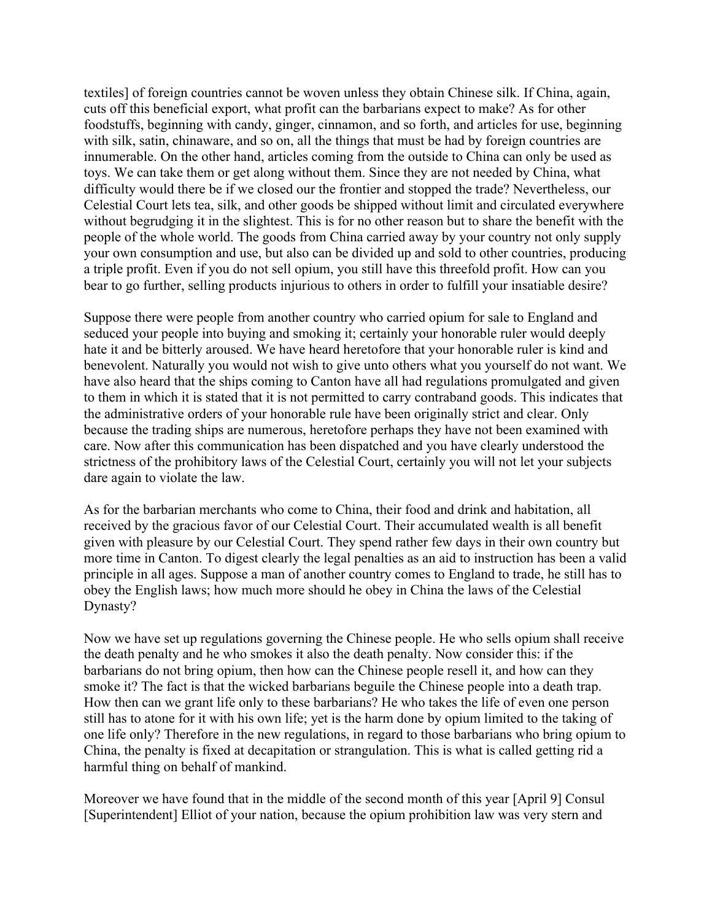textiles] of foreign countries cannot be woven unless they obtain Chinese silk. If China, again, cuts off this beneficial export, what profit can the barbarians expect to make? As for other foodstuffs, beginning with candy, ginger, cinnamon, and so forth, and articles for use, beginning with silk, satin, chinaware, and so on, all the things that must be had by foreign countries are innumerable. On the other hand, articles coming from the outside to China can only be used as toys. We can take them or get along without them. Since they are not needed by China, what difficulty would there be if we closed our the frontier and stopped the trade? Nevertheless, our Celestial Court lets tea, silk, and other goods be shipped without limit and circulated everywhere without begrudging it in the slightest. This is for no other reason but to share the benefit with the people of the whole world. The goods from China carried away by your country not only supply your own consumption and use, but also can be divided up and sold to other countries, producing a triple profit. Even if you do not sell opium, you still have this threefold profit. How can you bear to go further, selling products injurious to others in order to fulfill your insatiable desire?

Suppose there were people from another country who carried opium for sale to England and seduced your people into buying and smoking it; certainly your honorable ruler would deeply hate it and be bitterly aroused. We have heard heretofore that your honorable ruler is kind and benevolent. Naturally you would not wish to give unto others what you yourself do not want. We have also heard that the ships coming to Canton have all had regulations promulgated and given to them in which it is stated that it is not permitted to carry contraband goods. This indicates that the administrative orders of your honorable rule have been originally strict and clear. Only because the trading ships are numerous, heretofore perhaps they have not been examined with care. Now after this communication has been dispatched and you have clearly understood the strictness of the prohibitory laws of the Celestial Court, certainly you will not let your subjects dare again to violate the law.

As for the barbarian merchants who come to China, their food and drink and habitation, all received by the gracious favor of our Celestial Court. Their accumulated wealth is all benefit given with pleasure by our Celestial Court. They spend rather few days in their own country but more time in Canton. To digest clearly the legal penalties as an aid to instruction has been a valid principle in all ages. Suppose a man of another country comes to England to trade, he still has to obey the English laws; how much more should he obey in China the laws of the Celestial Dynasty?

Now we have set up regulations governing the Chinese people. He who sells opium shall receive the death penalty and he who smokes it also the death penalty. Now consider this: if the barbarians do not bring opium, then how can the Chinese people resell it, and how can they smoke it? The fact is that the wicked barbarians beguile the Chinese people into a death trap. How then can we grant life only to these barbarians? He who takes the life of even one person still has to atone for it with his own life; yet is the harm done by opium limited to the taking of one life only? Therefore in the new regulations, in regard to those barbarians who bring opium to China, the penalty is fixed at decapitation or strangulation. This is what is called getting rid a harmful thing on behalf of mankind.

Moreover we have found that in the middle of the second month of this year [April 9] Consul [Superintendent] Elliot of your nation, because the opium prohibition law was very stern and